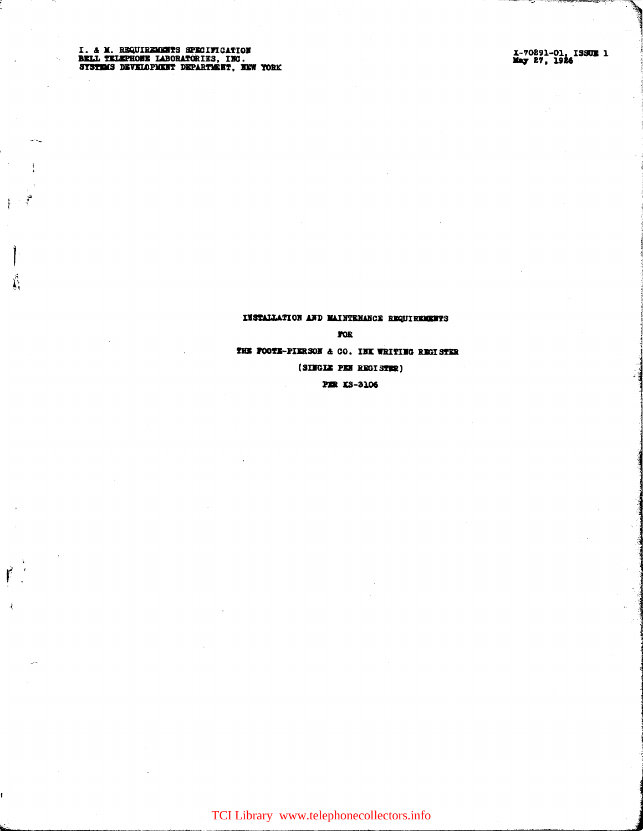# INSTALLATION AND MAINTENANCE REQUIREMENTS  $\tt{p}$ THE POOTE-PIERSON & CO. INK WRITING REGISTER

(SINGLE PEN REGISTER)

**PER KS-3106** 

TCI Library www.telephonecollectors.info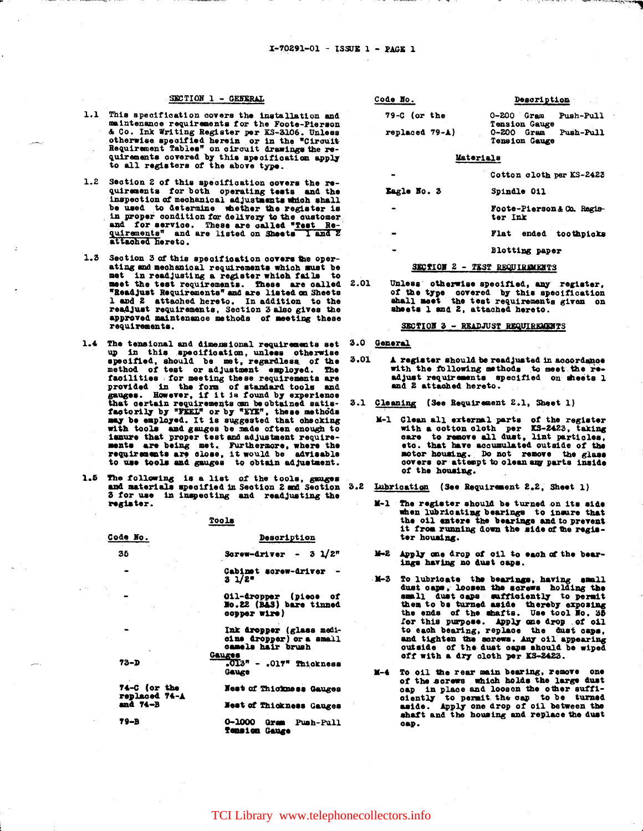### SECTION 1 - GENERAL

- 1.1 This specification covers the installation and maintenance requirements for the Foote-Pierson & Co. Ink Writing Register per KS-3106. Unless otherwise specified herein or in the "Circuit Requirement Tables" on circuit drawings the requirements covered by this specification apply to all registers of the above type.
- 1.2 Section 2 of this specification covers the requirements for both operating tests and the inspection of mechanical adjustments which shall be used to determine whether the register is in proper condition for delivery to the customer and for service. These are called "Test Requirements" and are listed on Sheets I and 2 attached hereto.
- 1.3 Section 3 of this specification covers the operating and mechanical requirements which must be met in readjusting a register which fails to meet the test requirements. These are called "Readjust Requirements" and are listed on Sheets 1 and 2 attached hereto. In addition to the readjust requirements, Section 3 also gives the approved maintenance methods of meeting these requirements.
- 1.4 The tensional and dimensional requirements set up in this specification, unless otherwise<br>specified, should be met, regardless of the<br>method of test or adjustment employed. The facilities for meeting these requirements are provided in the form of standard tools and<br>gauges. However, if it is found by experience<br>that certain requirements can be obtained satis-<br>factorily by "FEEL" or by "EYE", these methods<br>may be employed. It is suggested that with tools and gauges be made often enough to issure that proper test and adjustment requirements are being met. Furthermore, where the requirements are close, it would be advisable to use tools and gauges to obtain adjustment.
- 1.5 The following is a list of the tools, gauges and materials specified in Section 2 and Section 3 for use in inspecting and readjusting the register.

Tools

### Code No. Description 35 Screw-driver -  $3 \frac{1}{2}$ Cabinet screw-driver - $3 \frac{1}{2}$ Oil-dropper (piece of<br>No.22 (B&S) bare tinned copper wire) Ink dropper (glass medicine dropper) or a small<br>camels hair brush Gauges  $.013<sup>n</sup> - .017<sup>n</sup>$  Thickness  $73 - D$ Gauge 74-C (or the Nest of Thickness Gauges

replaced 74-A  $and 74 - B$ Nest of Thickness Gauges  $79 - B$ 

0-1000 Gram Push-Pull<br>Tension Gauge

| Code No.                          | Description                                       |
|-----------------------------------|---------------------------------------------------|
| $79-C$ (or the                    | $0-200$ Gram<br>Push-Pull<br>Tension Gauge        |
| $replaced$ 79- $\blacktriangle$ ) | Push-Pull<br>$0-200$ Gram<br><b>Tension Gauge</b> |
|                                   | Materials                                         |
|                                   | Cotton aloth non KS-2423                          |

|             | Cotton cloth per KS-2423            |
|-------------|-------------------------------------|
| Eagle No. 3 | Spindle 011                         |
|             | Foote-Pierson&Co. Regis-<br>ter Ink |
|             | ended toothpicks<br>Flat            |
|             | Blotting paper                      |

#### SECTION 2 - TEST REQUIREMENTS

2.01 Unless otherwise specified, any register, of the type covered by this specification<br>shall meet the test requirements given on sheets 1 and 2, attached hereto.

SECTION 3 - READJUST REQUIREMENTS

- 3.0 General
- 3.01 A register should be readjusted in accordance with the following methods to meet the readjust requirements specified on sheets 1 and 2 attached hereto.
- 3.1 Cleaning (See Requirement 2.1, Sheet 1)
	- M-1 Glean all external parts of the register<br>with a cotton oloth per KS-2423, taking<br>care to remove all dust, lint particles,<br>etc. that have accumulated outside of the motor housing. Do not remove the glass covers or attempt to olean any parts inside of the housing.
- 3.2 Lubrication (See Requirement 2.2, Sheet 1)
	- $x-1$ The register should be turned on its side when lubricating bearings to insure that the oil entere the bearings and to prevent it from running down the side of the register housing.
	- M-2 Apply one drop of oil to each of the bearings having no dust caps.
	- M-3 To lubricate the bearings, having small<br>dust cape, loosen the screws holding the small dust caps sufficiently to permit them to be turned aside thereby exposing<br>the ends of the shafts. Use tool No. 35 for this purpose. Apply one drop of oil to each bearing, replace the dust caps, and tighten the screws. Any oil appearing<br>outside of the dust caps should be wiped off with a dry cloth per KS-2423.
	- M-4 To oil the rear main bearing, remove one of the screws which holds the large dust cap in place and loosen the other sufficiently to permit the cap to be turned<br>aside. Apply one drop of oil between the<br>shaft and the housing and replace the dust cap.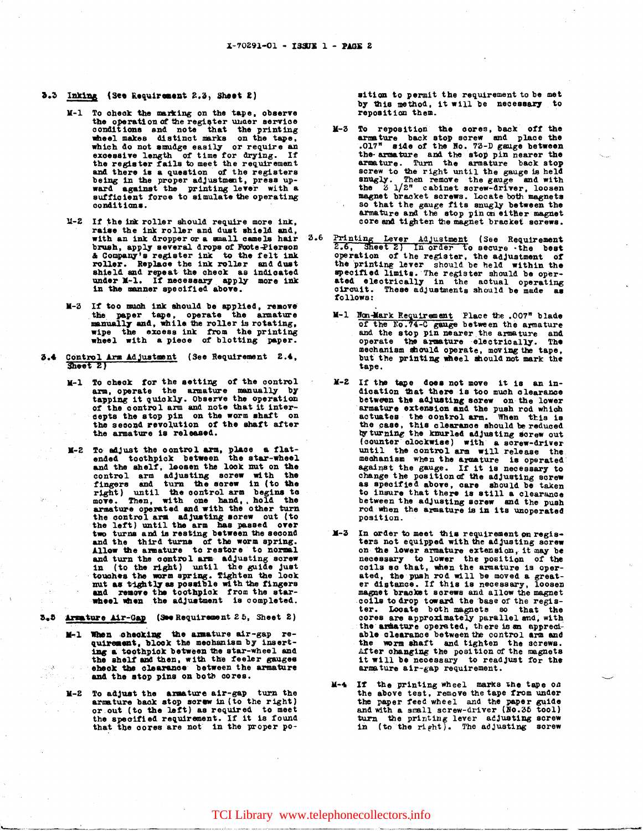- 5.3 Inking (See Requirement 2.3, Sheet 2)
	- M-1 To check the marking on the tape, observe the operation of the register under service conditions and note that the printing<br>wheel makes distinct marks on the tape. which do not smudge easily or require an excessive length of time for drying. If the register fails to meet the requirement and there is a question of the registers being in the proper adjustment, press upward against the printing lever with a<br>sufficient force to simulate the operating conditions.
	- M-2 If the ink roller should require more ink, raise the ink roller and dust shield and, with an ink dropper or a small camels hair brush, apply several drops of Foote-Pierson a Company's register ink to the felt ink<br>roller. Replace the ink roller and dust shield and repeat the check as indicated<br>under M-1. If necessary apply more ink<br>in the manner specified above.
	- M-3 If too much ink should be applied, remove the paper tape, operate the armature manually and, while the roller is rotating, wipe the excess ink from the printing wheel with a piece of blotting paper.
- 3.4 Control Arm Adjustment (See Requirement 2.4,  $Since E$ 
	- M-1 To check for the setting of the control arm, operate the armature manually by<br>tapping it quickly. Observe the operation of the control arm and note that it interdepts the stop pin on the worm shaft on<br>the second revolution of the shaft after the armature is released.
	- M-2 To adjust the control arm, place a flat-<br>ended toothpick between the star-wheel and the shelf, loosen the look mut on the control arm adjusting screw with the<br>fingers and turn the screw in (to the<br>right) until the control arm begins to<br>move. Then, with one hand, hold the<br>armature operated and with the other turn the control arm adjusting screw out (to<br>the left) until the arm has passed over<br>two turns and is resting between the second<br>and the third turns of the worm spring.<br>Allow the armature to restore to normal and turn the control arm adjusting screw<br>in (to the right) until the guide just<br>touches the worm spring. Tighten the look nut as tightly as possible with the fingers<br>and remove the toothpick from the star-<br>wheel when the adjustment is completed.

3.5 Armature Air-Gap (See Requirement 25, Sheet 2)

- M-1 When checking the amature air-gap requirement, block the mechanism by inserting a toothpick between the star-wheel and the shelf and then, with the feeler gauges eheck the clearance between the armature and the stop pins on both cores.
- M-2 To adjust the armature air-gap turn the armature back stop screw in (to the right) er out (to the left) as required to meet<br>the specified requirement. If it is found<br>that the cores are not in the proper po-

sition to permit the requirement to be met by this method, it will be necessary to reposition them.

- M-3 To reposition the cores, back off the armature back stop screw and place the .017" side of the No. 73-D gauge between the armature and the stop pin nearer the armature. Turn the armature back stop screw to the right until the gauge is held snugly. Then remove the gauge and with<br>the 2 1/2" cabinet screw-driver, loosen magnet bracket screws. Locate both magnets so that the gauge fits snugly between the armature and the stop pin on either magnet core and tighten the magnet bracket screws.
- Printing Lever Adjustment (See Requirement 2.6, Sheet 2) In order to secure the best  $3.6$ operation of the register, the adjustment of the printing lever should be held within the specified limits. The register should be operated electrically in the actual operating<br>circuit. These adjustments should be made as follows:
	- M-1 Non-Mark Requirement Place the .007" blade<br>of the No.74-C gauge between the armature and the stop pin nearer the armature and operate the armature electrically. The mechanism should operate, moving the tape,<br>but the printing wheel should not mark the tape.
	- M-2 If the tape does not move it is an indication that there is too much clearance between the adjusting screw on the lower armature extension and the push rod which actuates the control arm. When this is the case, this clearance should be reduced by turning the knurled adjusting sorew out (counter clockwise) with a screw-driver until the control arm will release the mechanism when the armature is operated against the gauge. If it is necessary to change the position of the adjusting screw<br>as specified above, care should be taken to insure that there is still a clearance between the adjusting screw and the push rod when the armature is in its unoperated position.
	- M-3 In order to meet this requirement on regis-<br>ters not equipped with the adjusting screw on the lower armature extension, it may be necessary to lower the position of the coils so that, when the armature is operated, the push rod will be moved a great-<br>er distance. If this is necessary, loosen magnet bracket screws and allow the magnet coils to drop toward the base of the regis-<br>ter. Locate both magnets so that the cores are approximately parallel and, with<br>the armature operated, there is an appreciable clearance between the control arm and the worm shaft and tighten the screws. After changing the position of the magnets<br>it will be necessary to readjust for the armature air-gap requirement.
	- M-4 If the printing wheel marks the tape on In the printing wheel marks the tape of the above test, remove the tape from under the paper feed wheel and the paper guide and with a small screw-driver (No.35 tool) turn the printing lever adjusting screw in (to the righ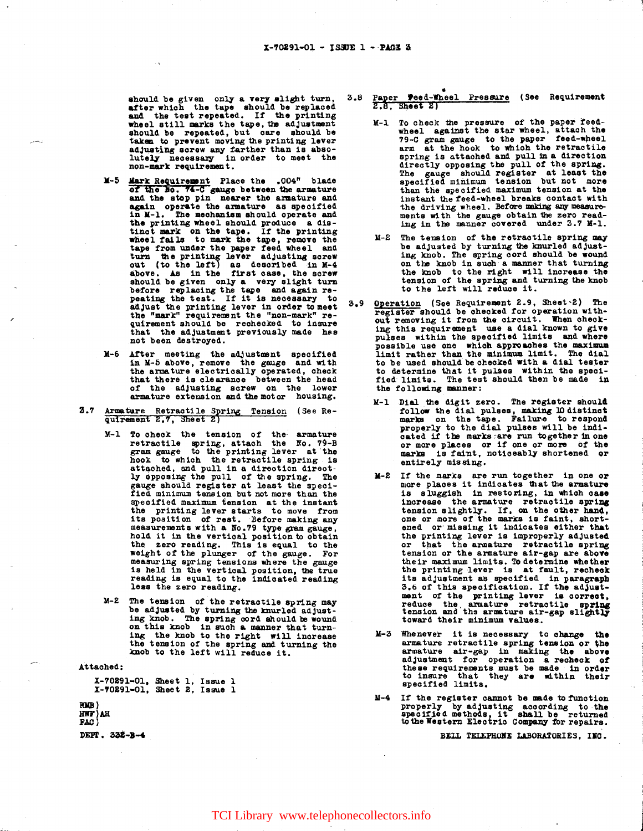should be given only a very slight turn,<br>after which the tape should be replaced<br>and the test repeated. If the printing<br>wheel still marks the tape, the adjustment should be repeated, but care should be taken to prevent moving the printing lever adjusting screw any farther than is absolutely necessary in order to meet the non-mark requirement.

- M-5 Mark Requirement Place the .004" blade<br>of the No. 74-C gauge between the armature<br>and the stop pin nearer the armature and again operate the armature as specified<br>in M-1. The mechanism should operate and the printing wheel should produce a distinct mark on the tape. If the printing<br>the printing wheel should produce a dis-<br>tinct mark on the tape. If the printing<br>wheel fails to mark the tape, remove the<br>tape from under the p turn the printing lever adjusting sorew<br>out (to the left) as described in M-4<br>above. As in the first case, the screw should be given only a very slight turn before replacing the tape and again re-<br>peating the test. If it is necessary to adjust the printing lever in order to meet<br>the "mark" requirement the "non-mark" requirement should be recheded to insure<br>that the adjustment previously made has not been destroyed.
- M-6 After meeting the adjustment specified in M-5 above, remove the gauge and with<br>the armature electrically operated, check that there is clearance between the head of the adjusting screw on the lower armature extension and the motor housing.
- Armature Retractile Spring Tension (See Re-<br>quirement 2.7, Sheet 2)  $3.7$ 
	- M-1 To check the tension of the armature<br>retractile spring, attach the No. 79-B<br>gram gauge to the printing lever at the<br>hook to which the retractile spring is attached, and pull in a direction directly opposing the pull of the spring. The gauge should register at least the specified minimum tension but not more than the specified maximum tension at the instant<br>the printing lever starts to move from its position of rest. Before making any measurements with a No.79 type gram gauge, hold it in the vertical position to obtain the zero reading. This is equal to the weight of the plunger of the gauge. For measuring spring tensions where the gauge is held in the vertical position, the true reading is equal to the indicated reading less the zero reading.
	- M-2 The tension of the retractile spring may The tension of the retractile spring may<br>be adjusted by turning the knurled adjust-<br>ing knob. The spring cord should be wound<br>on this knob in such a manner that turn-<br>ing the knob to the right will increase<br>the tension of

Attached:

X-70291-01, Sheet 1, Issue 1<br>X-70291-01, Sheet 2, Issue 1

RMB) HWF) AH **FAC**) DEPT. 332-B-4

- Paper Feed-Wheel Pressure (See Requirement  $3.8$  $2.8$ , Sheet  $2)$ 
	- M-1 To check the pressure of the paper feed-<br>wheel against the star wheel, attach the<br>79-C gram gauge to the paper feed-wheel<br>arm at the hook to which the retractile arm at the nook to which the retractile<br>spring is attached and pull in a direction<br>directly opposing the pull of the spring.<br>The gauge should register at least the<br>specified minimum tension but not more than the specified maximum tension at the instant the feed-wheel breaks contact with the driving wheel. Before making any measurements with the gauge obtain the zero reading in the manner covered under 3.7 M-1.
	- M-2 The tension of the retractile spring may be adjusted by turning the knurled adjusting knob. The spring cord should be wound on the knob in such a manner that turning the knob to the right will increase the tension of the spring and turning the knob to the left will reduce it.
- Operation (See Requirement 2.9, Sheet 2) The  $3.9$ register should be checked for operation with-<br>out removing it from the circuit. When checking this requirement use a dial known to give pulses within the specified limits and where possible use one which approaches the maximum<br>limit rather than the minimum limit. The dial to be used should be checked with a dial tester<br>to determine that it pulses within the speci-<br>fied limits. The test should then be made in the following manner:
	- M-1 Dial the digit zero. The register should follow the dial pulses, making 10 distinct<br>marks on the tape. Failure to respond properly to the dial pulses will be indi-<br>cated if the marks are run together in one or more places or if one or more of the entirely missing.
	- M-2 If the marks are run together in one or more places it indicates that the armature is sluggish in restoring, in which case increase the armature retractile spring tension slightly. If, on the other hand, one or more of the marks is faint, shortened or missing it indicates either that the printing lever is improperly adjusted or that the armature retractile spring tension or the armature air-gap are above their maximum limits. To determine whether the printing lever is at fault, recheck<br>its adjustment as specified in paragraph<br>3.6 of this specification. If the adjustment of the printing lever is correct, reduce the armature retractile spring tension and the armature air-gap slightly toward their minimum values.
	- M-3 Whenever it is necessary to change the armature retractile spring tension or the armature air-gap in making the above<br>adjustment for operation a recheck of these requirements must be made in order to insure that they are within their
	- M-4 If the register cannot be made to function properly by adjusting according to the specified methods, it shall be returned to the Western Electric Company for repairs.

BEIL TELEPHONE LABORATORIES. INC.

## TCI Library www.telephonecollectors.info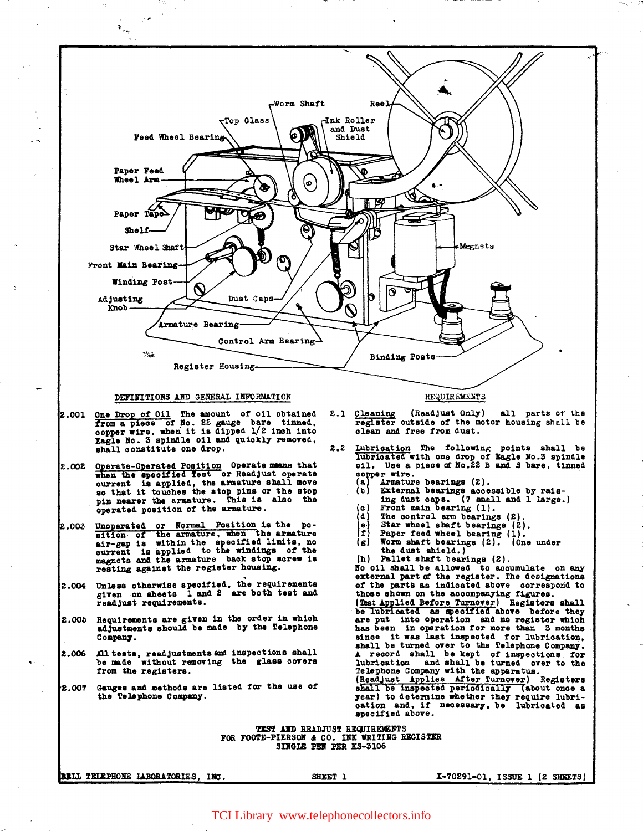

TEST AND READJUST REQUIREMENTS FOR FOOTE-PIERSON & CO. INK WRITING REGISTER SINGLE PEN PER KS-3106

BELL TELEPHONE LABORATORIES. INC.

SHEET 1

X-70291-01, ISSUE 1 (2 SHEETS)